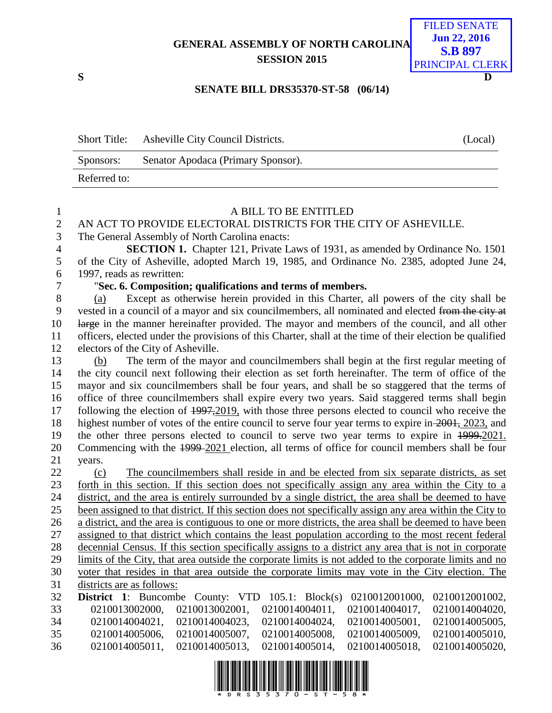**GENERAL ASSEMBLY OF NORTH CAROLINA SESSION 2015**



#### **SENATE BILL DRS35370-ST-58 (06/14)**

|              | Short Title: Asheville City Council Districts. | (Local) |
|--------------|------------------------------------------------|---------|
| Sponsors:    | Senator Apodaca (Primary Sponsor).             |         |
| Referred to: |                                                |         |

| $\mathbf 1$    | A BILL TO BE ENTITLED                                                                                           |
|----------------|-----------------------------------------------------------------------------------------------------------------|
| $\overline{2}$ | AN ACT TO PROVIDE ELECTORAL DISTRICTS FOR THE CITY OF ASHEVILLE.                                                |
| 3              | The General Assembly of North Carolina enacts:                                                                  |
| $\overline{4}$ | <b>SECTION 1.</b> Chapter 121, Private Laws of 1931, as amended by Ordinance No. 1501                           |
| 5              | of the City of Asheville, adopted March 19, 1985, and Ordinance No. 2385, adopted June 24,                      |
| 6              | 1997, reads as rewritten:                                                                                       |
| $\overline{7}$ | "Sec. 6. Composition; qualifications and terms of members.                                                      |
| 8              | Except as otherwise herein provided in this Charter, all powers of the city shall be<br>(a)                     |
| 9              | vested in a council of a mayor and six councilmembers, all nominated and elected from the city at               |
| 10             | large in the manner hereinafter provided. The mayor and members of the council, and all other                   |
| 11             | officers, elected under the provisions of this Charter, shall at the time of their election be qualified        |
| 12             | electors of the City of Asheville.                                                                              |
| 13             | The term of the mayor and councilmembers shall begin at the first regular meeting of<br>(b)                     |
| 14             | the city council next following their election as set forth hereinafter. The term of office of the              |
| 15             | mayor and six councilmembers shall be four years, and shall be so staggered that the terms of                   |
| 16             | office of three councilmembers shall expire every two years. Said staggered terms shall begin                   |
| 17             | following the election of $\frac{1997,2019}{201}$ , with those three persons elected to council who receive the |
| 18             | highest number of votes of the entire council to serve four year terms to expire in 2001, 2023, and             |
| 19             | the other three persons elected to council to serve two year terms to expire in 1999-2021.                      |
| 20             | Commencing with the 1999-2021 election, all terms of office for council members shall be four                   |
| 21             | years.                                                                                                          |
| 22             | The councilmembers shall reside in and be elected from six separate districts, as set<br>(c)                    |
| 23             | forth in this section. If this section does not specifically assign any area within the City to a               |
| 24             | district, and the area is entirely surrounded by a single district, the area shall be deemed to have            |
| 25             | been assigned to that district. If this section does not specifically assign any area within the City to        |
| 26             | a district, and the area is contiguous to one or more districts, the area shall be deemed to have been          |
| 27             | assigned to that district which contains the least population according to the most recent federal              |
| 28             | decennial Census. If this section specifically assigns to a district any area that is not in corporate          |
| 29             | limits of the City, that area outside the corporate limits is not added to the corporate limits and no          |
| 30             | voter that resides in that area outside the corporate limits may vote in the City election. The                 |
| 31             | districts are as follows:                                                                                       |
| 32             | <b>District 1:</b> Buncombe County: VTD<br>105.1: $Block(s)$<br>0210012001000,<br>0210012001002,                |
| 33             | 0210013002001,<br>0210014004011,<br>0210014004017,<br>0210013002000,<br>0210014004020,                          |
| 34             | 0210014004021,<br>0210014004023,<br>0210014004024,<br>0210014005001,<br>0210014005005,                          |
| 35             | 0210014005006,<br>0210014005007,<br>0210014005008,<br>0210014005009,<br>0210014005010,                          |
| 36             | 0210014005011,<br>0210014005013,<br>0210014005014,<br>0210014005018,<br>0210014005020,                          |
|                |                                                                                                                 |

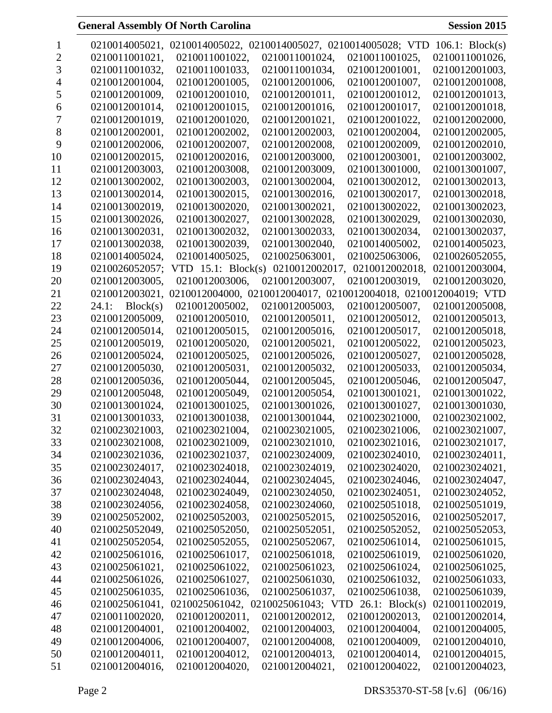| 1  |                   |                       | 0210014005021, 0210014005022, 0210014005027, 0210014005028; VTD |                | $106.1$ : Block(s) |
|----|-------------------|-----------------------|-----------------------------------------------------------------|----------------|--------------------|
| 2  | 0210011001021,    | 0210011001022,        | 0210011001024,                                                  | 0210011001025, | 0210011001026,     |
| 3  | 0210011001032,    | 0210011001033,        | 0210011001034,                                                  | 0210012001001, | 0210012001003,     |
| 4  | 0210012001004,    | 0210012001005,        | 0210012001006,                                                  | 0210012001007, | 0210012001008,     |
| 5  | 0210012001009,    | 0210012001010,        | 0210012001011,                                                  | 0210012001012, | 0210012001013,     |
| 6  | 0210012001014,    | 0210012001015,        | 0210012001016,                                                  | 0210012001017, | 0210012001018,     |
| 7  | 0210012001019,    | 0210012001020,        | 0210012001021,                                                  | 0210012001022, | 0210012002000,     |
| 8  | 0210012002001,    | 0210012002002,        | 0210012002003,                                                  | 0210012002004, | 0210012002005,     |
| 9  | 0210012002006,    | 0210012002007,        | 0210012002008,                                                  | 0210012002009, | 0210012002010,     |
| 10 | 0210012002015,    | 0210012002016,        | 0210012003000,                                                  | 0210012003001, | 0210012003002,     |
| 11 | 0210012003003,    | 0210012003008,        | 0210012003009,                                                  | 0210013001000, | 0210013001007,     |
| 12 | 0210013002002,    | 0210013002003,        | 0210013002004,                                                  | 0210013002012, | 0210013002013,     |
| 13 | 0210013002014,    | 0210013002015,        | 0210013002016,                                                  | 0210013002017, | 0210013002018,     |
| 14 | 0210013002019,    | 0210013002020,        | 0210013002021,                                                  | 0210013002022, | 0210013002023,     |
| 15 | 0210013002026,    | 0210013002027,        | 0210013002028,                                                  | 0210013002029, | 0210013002030,     |
| 16 | 0210013002031,    | 0210013002032,        | 0210013002033,                                                  | 0210013002034, | 0210013002037,     |
| 17 | 0210013002038,    | 0210013002039,        | 0210013002040,                                                  | 0210014005002, | 0210014005023,     |
| 18 | 0210014005024,    | 0210014005025,        | 0210025063001,                                                  | 0210025063006, | 0210026052055,     |
| 19 | 0210026052057;    | VTD $15.1$ : Block(s) | 0210012002017,                                                  | 0210012002018, | 0210012003004,     |
| 20 | 0210012003005,    | 0210012003006,        | 0210012003007,                                                  | 0210012003019, | 0210012003020,     |
| 21 | 0210012003021,    | 0210012004000,        | 0210012004017, 0210012004018, 0210012004019; VTD                |                |                    |
| 22 | 24.1:<br>Block(s) | 0210012005002,        | 0210012005003,                                                  | 0210012005007, | 0210012005008,     |
| 23 | 0210012005009,    | 0210012005010,        | 0210012005011,                                                  | 0210012005012, | 0210012005013,     |
| 24 | 0210012005014,    | 0210012005015,        | 0210012005016,                                                  | 0210012005017, | 0210012005018,     |
| 25 | 0210012005019,    | 0210012005020,        | 0210012005021,                                                  | 0210012005022, | 0210012005023,     |
| 26 | 0210012005024,    | 0210012005025,        | 0210012005026,                                                  | 0210012005027, | 0210012005028,     |
| 27 | 0210012005030,    | 0210012005031,        | 0210012005032,                                                  | 0210012005033, | 0210012005034,     |
| 28 | 0210012005036,    | 0210012005044,        | 0210012005045,                                                  | 0210012005046, | 0210012005047,     |
| 29 | 0210012005048,    | 0210012005049,        | 0210012005054,                                                  | 0210013001021, | 0210013001022,     |
| 30 | 0210013001024,    | 0210013001025,        | 0210013001026,                                                  | 0210013001027, | 0210013001030,     |
| 31 | 0210013001033,    | 0210013001038,        | 0210013001044,                                                  | 0210023021000, | 0210023021002,     |
| 32 | 0210023021003,    | 0210023021004,        | 0210023021005,                                                  | 0210023021006, | 0210023021007,     |
| 33 | 0210023021008,    | 0210023021009,        | 0210023021010,                                                  | 0210023021016, | 0210023021017,     |
| 34 | 0210023021036,    | 0210023021037,        | 0210023024009,                                                  | 0210023024010, | 0210023024011,     |
| 35 | 0210023024017,    | 0210023024018,        | 0210023024019,                                                  | 0210023024020, | 0210023024021,     |
| 36 | 0210023024043,    | 0210023024044,        | 0210023024045,                                                  | 0210023024046, | 0210023024047,     |
| 37 | 0210023024048,    | 0210023024049,        | 0210023024050,                                                  | 0210023024051, | 0210023024052,     |
| 38 | 0210023024056,    | 0210023024058,        | 0210023024060,                                                  | 0210025051018, | 0210025051019,     |
| 39 | 0210025052002,    | 0210025052003,        | 0210025052015,                                                  | 0210025052016, | 0210025052017,     |
| 40 | 0210025052049,    | 0210025052050,        | 0210025052051,                                                  | 0210025052052, | 0210025052053,     |
| 41 | 0210025052054,    | 0210025052055,        | 0210025052067,                                                  | 0210025061014, | 0210025061015,     |
| 42 | 0210025061016,    | 0210025061017,        | 0210025061018,                                                  | 0210025061019, | 0210025061020,     |
| 43 | 0210025061021,    | 0210025061022,        | 0210025061023,                                                  | 0210025061024, | 0210025061025,     |
| 44 | 0210025061026,    | 0210025061027,        | 0210025061030,                                                  | 0210025061032, | 0210025061033,     |
| 45 | 0210025061035,    | 0210025061036,        | 0210025061037,                                                  | 0210025061038, | 0210025061039,     |
| 46 | 0210025061041,    |                       | 0210025061042, 0210025061043; VTD 26.1: Block(s)                |                | 0210011002019,     |
| 47 | 0210011002020,    | 0210012002011,        | 0210012002012,                                                  | 0210012002013, | 0210012002014,     |
| 48 | 0210012004001,    | 0210012004002,        | 0210012004003,                                                  | 0210012004004, | 0210012004005,     |
| 49 | 0210012004006,    | 0210012004007,        | 0210012004008,                                                  | 0210012004009, | 0210012004010,     |
| 50 | 0210012004011,    | 0210012004012,        | 0210012004013,                                                  | 0210012004014, | 0210012004015,     |
| 51 | 0210012004016,    | 0210012004020,        | 0210012004021,                                                  | 0210012004022, | 0210012004023,     |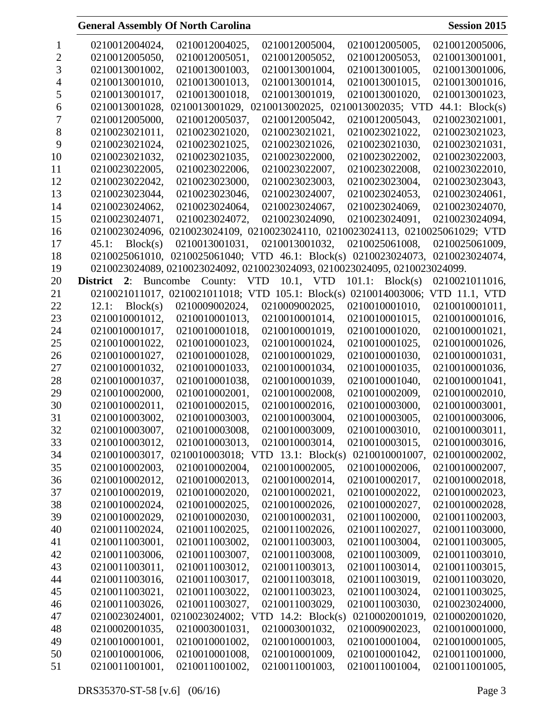| 1  | 0210012004024,    | 0210012004025,      | 0210012005004,                                                             | 0210012005005,  | 0210012005006, |
|----|-------------------|---------------------|----------------------------------------------------------------------------|-----------------|----------------|
| 2  | 0210012005050,    | 0210012005051,      | 0210012005052,                                                             | 0210012005053,  | 0210013001001, |
| 3  | 0210013001002,    | 0210013001003,      | 0210013001004,                                                             | 0210013001005,  | 0210013001006, |
| 4  | 0210013001010,    | 0210013001013,      | 0210013001014,                                                             | 0210013001015,  | 0210013001016, |
| 5  | 0210013001017,    | 0210013001018,      | 0210013001019,                                                             | 0210013001020,  | 0210013001023, |
| 6  | 0210013001028,    |                     | 0210013001029, 0210013002025, 0210013002035; VTD                           |                 | 44.1: Block(s) |
|    | 0210012005000,    | 0210012005037,      | 0210012005042,                                                             | 0210012005043,  | 0210023021001, |
| 8  | 0210023021011,    | 0210023021020,      | 0210023021021,                                                             | 0210023021022,  | 0210023021023, |
| 9  | 0210023021024,    | 0210023021025,      | 0210023021026,                                                             | 0210023021030,  | 0210023021031, |
| 10 | 0210023021032,    | 0210023021035,      | 0210023022000,                                                             | 0210023022002,  | 0210023022003, |
| 11 | 0210023022005,    | 0210023022006,      | 0210023022007,                                                             | 0210023022008,  | 0210023022010, |
| 12 | 0210023022042,    | 0210023023000,      | 0210023023003,                                                             | 0210023023004,  | 0210023023043, |
| 13 | 0210023023044,    | 0210023023046,      | 0210023024007,                                                             | 0210023024053,  | 0210023024061, |
| 14 | 0210023024062,    | 0210023024064,      | 0210023024067,                                                             | 0210023024069,  | 0210023024070, |
| 15 | 0210023024071,    | 0210023024072,      | 0210023024090,                                                             | 0210023024091,  | 0210023024094, |
| 16 | 0210023024096,    |                     | 0210023024109, 0210023024110, 0210023024113, 0210025061029; VTD            |                 |                |
| 17 | Block(s)<br>45.1: | 0210013001031,      | 0210013001032,                                                             | 0210025061008,  | 0210025061009, |
| 18 |                   |                     | 0210025061010, 0210025061040; VTD 46.1: Block(s) 0210023024073,            |                 | 0210023024074, |
| 19 |                   |                     | 0210023024089, 0210023024092, 0210023024093, 0210023024095, 0210023024099. |                 |                |
| 20 | <b>District</b>   | 2: Buncombe County: | VTD 10.1, VTD                                                              | 101.1: Block(s) | 0210021011016, |
| 21 |                   |                     | 0210021011017, 0210021011018; VTD 105.1: Block(s) 0210014003006;           |                 | VTD 11.1, VTD  |
| 22 | Block(s)<br>12.1: | 0210009002024,      | 0210009002025,                                                             | 0210010001010,  | 0210010001011, |
| 23 | 0210010001012,    | 0210010001013,      | 0210010001014,                                                             | 0210010001015,  | 0210010001016, |
| 24 | 0210010001017,    | 0210010001018,      | 0210010001019,                                                             | 0210010001020,  | 0210010001021, |
| 25 | 0210010001022,    | 0210010001023,      | 0210010001024,                                                             | 0210010001025,  | 0210010001026, |
| 26 | 0210010001027,    | 0210010001028,      | 0210010001029,                                                             | 0210010001030,  | 0210010001031, |
| 27 | 0210010001032,    | 0210010001033,      | 0210010001034,                                                             | 0210010001035,  | 0210010001036, |
| 28 | 0210010001037,    | 0210010001038,      | 0210010001039,                                                             | 0210010001040,  | 0210010001041, |
| 29 | 0210010002000,    | 0210010002001,      | 0210010002008,                                                             | 0210010002009,  | 0210010002010, |
| 30 | 0210010002011,    | 0210010002015,      | 0210010002016,                                                             | 0210010003000,  | 0210010003001, |
| 31 | 0210010003002,    | 0210010003003,      | 0210010003004,                                                             | 0210010003005,  | 0210010003006, |
| 32 | 0210010003007,    | 0210010003008,      | 0210010003009.                                                             | 0210010003010,  | 0210010003011, |
| 33 | 0210010003012,    | 0210010003013,      | 0210010003014,                                                             | 0210010003015,  | 0210010003016, |
| 34 | 0210010003017,    |                     | 0210010003018; VTD 13.1: Block(s) 0210010001007,                           |                 | 0210010002002, |
| 35 | 0210010002003,    | 0210010002004,      | 0210010002005,                                                             | 0210010002006,  | 0210010002007, |
| 36 | 0210010002012,    | 0210010002013,      | 0210010002014,                                                             | 0210010002017,  | 0210010002018, |
| 37 | 0210010002019,    | 0210010002020,      | 0210010002021,                                                             | 0210010002022,  | 0210010002023, |
| 38 | 0210010002024,    | 0210010002025,      | 0210010002026,                                                             | 0210010002027,  | 0210010002028, |
| 39 | 0210010002029,    | 0210010002030,      | 0210010002031,                                                             | 0210011002000,  | 0210011002003, |
| 40 | 0210011002024,    | 0210011002025,      | 0210011002026,                                                             | 0210011002027,  | 0210011003000, |
| 41 | 0210011003001,    | 0210011003002,      | 0210011003003,                                                             | 0210011003004,  | 0210011003005, |
| 42 | 0210011003006,    | 0210011003007,      | 0210011003008,                                                             | 0210011003009,  | 0210011003010, |
| 43 | 0210011003011,    | 0210011003012,      | 0210011003013,                                                             | 0210011003014,  | 0210011003015, |
| 44 | 0210011003016,    | 0210011003017,      | 0210011003018,                                                             | 0210011003019,  | 0210011003020, |
| 45 | 0210011003021,    | 0210011003022,      | 0210011003023,                                                             | 0210011003024,  | 0210011003025, |
| 46 | 0210011003026,    | 0210011003027,      | 0210011003029,                                                             | 0210011003030,  | 0210023024000, |
| 47 | 0210023024001,    |                     | 0210023024002; VTD 14.2: Block(s)                                          | 0210002001019,  | 0210002001020, |
| 48 | 0210002001035,    | 0210003001031,      | 0210003001032,                                                             | 0210009002023,  | 0210010001000, |
| 49 | 0210010001001,    | 0210010001002,      | 0210010001003,                                                             | 0210010001004,  | 0210010001005, |
| 50 | 0210010001006,    | 0210010001008,      | 0210010001009,                                                             | 0210010001042,  | 0210011001000, |
| 51 | 0210011001001,    | 0210011001002,      | 0210011001003,                                                             | 0210011001004,  | 0210011001005, |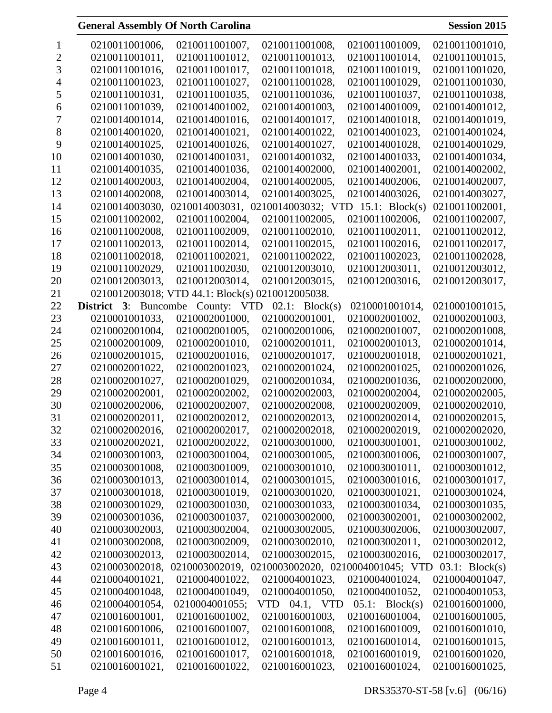|    | 0210011001006,              | 0210011001007,                   | 0210011001008,                                   | 0210011001009,    | 0210011001010,   |
|----|-----------------------------|----------------------------------|--------------------------------------------------|-------------------|------------------|
| 2  | 0210011001011,              | 0210011001012,                   | 0210011001013,                                   | 0210011001014,    | 0210011001015,   |
| 3  | 0210011001016,              | 0210011001017,                   | 0210011001018,                                   | 0210011001019,    | 0210011001020,   |
| 4  | 0210011001023,              | 0210011001027,                   | 0210011001028,                                   | 0210011001029,    | 0210011001030,   |
| 5  | 0210011001031,              | 0210011001035,                   | 0210011001036,                                   | 0210011001037,    | 0210011001038,   |
| 6  | 0210011001039,              | 0210014001002,                   | 0210014001003,                                   | 0210014001009,    | 0210014001012,   |
| 7  | 0210014001014,              | 0210014001016,                   | 0210014001017,                                   | 0210014001018,    | 0210014001019,   |
| 8  | 0210014001020,              | 0210014001021,                   | 0210014001022,                                   | 0210014001023,    | 0210014001024,   |
| 9  | 0210014001025,              | 0210014001026,                   | 0210014001027,                                   | 0210014001028,    | 0210014001029,   |
| 10 | 0210014001030,              | 0210014001031,                   | 0210014001032,                                   | 0210014001033,    | 0210014001034,   |
| 11 | 0210014001035,              | 0210014001036,                   | 0210014002000,                                   | 0210014002001,    | 0210014002002,   |
| 12 | 0210014002003,              | 0210014002004,                   | 0210014002005,                                   | 0210014002006,    | 0210014002007,   |
| 13 | 0210014002008,              | 0210014003014,                   | 0210014003025,                                   | 0210014003026,    | 0210014003027,   |
| 14 | 0210014003030,              | 0210014003031,                   | 0210014003032; VTD                               | 15.1: $Block(s)$  | 0210011002001,   |
| 15 | 0210011002002,              | 0210011002004,                   | 0210011002005,                                   | 0210011002006,    | 0210011002007,   |
| 16 | 0210011002008,              | 0210011002009,                   | 0210011002010,                                   | 0210011002011,    | 0210011002012,   |
| 17 | 0210011002013,              | 0210011002014,                   | 0210011002015,                                   | 0210011002016,    | 0210011002017,   |
| 18 | 0210011002018,              | 0210011002021,                   | 0210011002022,                                   | 0210011002023,    | 0210011002028,   |
| 19 | 0210011002029,              | 0210011002030,                   | 0210012003010,                                   | 0210012003011,    | 0210012003012,   |
| 20 | 0210012003013,              | 0210012003014,                   | 0210012003015,                                   | 0210012003016,    | 0210012003017,   |
| 21 | 0210012003018; V            | TD 44.1: Block(s) 0210012005038. |                                                  |                   |                  |
| 22 | <b>District</b> 3: Buncombe | County: VTD                      | $02.1$ : Block(s)                                | 0210001001014,    | 0210001001015,   |
| 23 | 0210001001033,              | 0210002001000,                   | 0210002001001,                                   | 0210002001002,    | 0210002001003,   |
| 24 | 0210002001004,              | 0210002001005,                   | 0210002001006,                                   | 0210002001007,    | 0210002001008,   |
| 25 | 0210002001009,              | 0210002001010,                   | 0210002001011,                                   | 0210002001013,    | 0210002001014,   |
| 26 | 0210002001015,              | 0210002001016,                   | 0210002001017,                                   | 0210002001018,    | 0210002001021,   |
| 27 | 0210002001022,              | 0210002001023,                   | 0210002001024,                                   | 0210002001025,    | 0210002001026,   |
| 28 | 0210002001027,              | 0210002001029,                   | 0210002001034,                                   | 0210002001036,    | 0210002002000,   |
| 29 | 0210002002001,              | 0210002002002,                   | 0210002002003,                                   | 0210002002004,    | 0210002002005,   |
| 30 | 0210002002006,              | 0210002002007,                   | 0210002002008,                                   | 0210002002009,    | 0210002002010,   |
| 31 | 0210002002011,              | 0210002002012,                   | 0210002002013,                                   | 0210002002014,    | 0210002002015,   |
| 32 | 0210002002016,              | 0210002002017,                   | 0210002002018.                                   | 0210002002019,    | 0210002002020.   |
| 33 | 0210002002021,              | 0210002002022,                   | 0210003001000,                                   | 0210003001001,    | 0210003001002,   |
| 34 | 0210003001003,              | 0210003001004,                   | 0210003001005,                                   | 0210003001006,    | 0210003001007,   |
| 35 | 0210003001008,              | 0210003001009,                   | 0210003001010,                                   | 0210003001011,    | 0210003001012,   |
| 36 | 0210003001013,              | 0210003001014,                   | 0210003001015,                                   | 0210003001016,    | 0210003001017,   |
| 37 | 0210003001018,              | 0210003001019,                   | 0210003001020,                                   | 0210003001021,    | 0210003001024,   |
| 38 | 0210003001029,              | 0210003001030,                   | 0210003001033,                                   | 0210003001034,    | 0210003001035,   |
| 39 | 0210003001036,              | 0210003001037,                   | 0210003002000,                                   | 0210003002001,    | 0210003002002,   |
| 40 | 0210003002003,              | 0210003002004,                   | 0210003002005,                                   | 0210003002006,    | 0210003002007,   |
| 41 | 0210003002008,              | 0210003002009,                   | 0210003002010,                                   | 0210003002011,    | 0210003002012,   |
| 42 | 0210003002013,              | 0210003002014,                   | 0210003002015,                                   | 0210003002016,    | 0210003002017,   |
| 43 | 0210003002018,              |                                  | 0210003002019, 0210003002020, 0210004001045; VTD |                   | 03.1: $Block(s)$ |
| 44 | 0210004001021,              | 0210004001022,                   | 0210004001023,                                   | 0210004001024,    | 0210004001047,   |
| 45 | 0210004001048,              | 0210004001049,                   | 0210004001050,                                   | 0210004001052,    | 0210004001053,   |
| 46 | 0210004001054,              | 0210004001055;                   | VTD 04.1, VTD                                    | $05.1$ : Block(s) | 0210016001000,   |
| 47 | 0210016001001,              | 0210016001002,                   | 0210016001003,                                   | 0210016001004,    | 0210016001005,   |
| 48 | 0210016001006,              | 0210016001007,                   | 0210016001008,                                   | 0210016001009,    | 0210016001010,   |
| 49 | 0210016001011,              | 0210016001012,                   | 0210016001013,                                   | 0210016001014,    | 0210016001015,   |
| 50 | 0210016001016,              | 0210016001017,                   | 0210016001018,                                   | 0210016001019,    | 0210016001020,   |
| 51 | 0210016001021,              | 0210016001022,                   | 0210016001023,                                   | 0210016001024,    | 0210016001025,   |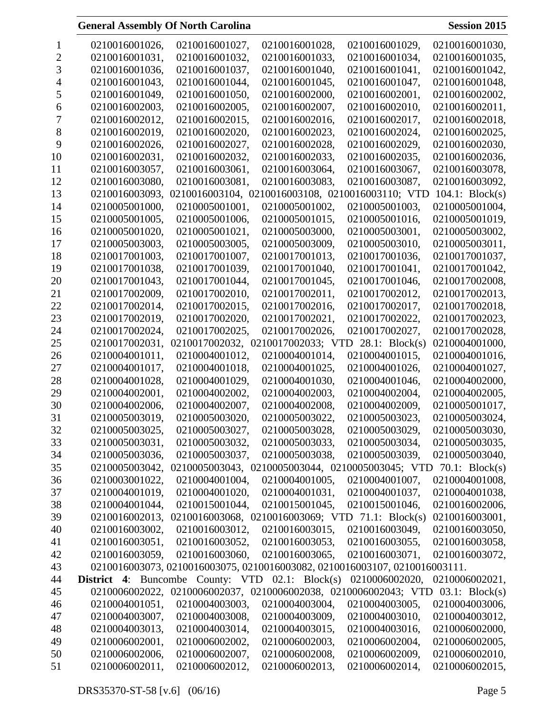|    | 0210016001026,                                            | 0210016001027, | 0210016001028,                                                                 | 0210016001029,                  | 0210016001030,     |
|----|-----------------------------------------------------------|----------------|--------------------------------------------------------------------------------|---------------------------------|--------------------|
| 2  | 0210016001031,                                            | 0210016001032, | 0210016001033,                                                                 | 0210016001034,                  | 0210016001035,     |
| 3  | 0210016001036,                                            | 0210016001037, | 0210016001040,                                                                 | 0210016001041,                  | 0210016001042,     |
|    | 0210016001043,                                            | 0210016001044, | 0210016001045,                                                                 | 0210016001047,                  | 0210016001048,     |
| C  | 0210016001049,                                            | 0210016001050, | 0210016002000,                                                                 | 0210016002001,                  | 0210016002002,     |
| 6  | 0210016002003,                                            | 0210016002005, | 0210016002007,                                                                 | 0210016002010,                  | 0210016002011,     |
| 7  | 0210016002012,                                            | 0210016002015, | 0210016002016,                                                                 | 0210016002017,                  | 0210016002018,     |
| 8  | 0210016002019,                                            | 0210016002020, | 0210016002023,                                                                 | 0210016002024,                  | 0210016002025,     |
| 9  | 0210016002026,                                            | 0210016002027, | 0210016002028,                                                                 | 0210016002029,                  | 0210016002030,     |
| 10 | 0210016002031,                                            | 0210016002032, | 0210016002033,                                                                 | 0210016002035,                  | 0210016002036,     |
| 11 | 0210016003057,                                            | 0210016003061, | 0210016003064,                                                                 | 0210016003067,                  | 0210016003078,     |
| 12 | 0210016003080,                                            | 0210016003081, | 0210016003083,                                                                 | 0210016003087,                  | 0210016003092,     |
| 13 | 0210016003093,                                            | 0210016003104, | U <sub>2</sub>                                                                 | 10016003108, 0210016003110; VTD | $104.1$ : Block(s) |
| 14 | 0210005001000,                                            | 0210005001001, | 0210005001002,                                                                 | 0210005001003,                  | 0210005001004,     |
| 15 | 0210005001005,                                            | 0210005001006, | 0210005001015,                                                                 | 0210005001016,                  | 0210005001019,     |
| 16 | 0210005001020,                                            | 0210005001021, | 0210005003000,                                                                 | 0210005003001,                  | 0210005003002,     |
| 17 | 0210005003003,                                            | 0210005003005, | 0210005003009,                                                                 | 0210005003010,                  | 0210005003011,     |
| 18 | 0210017001003,                                            | 0210017001007, | 0210017001013,                                                                 | 0210017001036,                  | 0210017001037,     |
| 19 | 0210017001038,                                            | 0210017001039, | 0210017001040,                                                                 | 0210017001041,                  | 0210017001042,     |
| 20 | 0210017001043,                                            | 0210017001044, | 0210017001045,                                                                 | 0210017001046,                  | 0210017002008,     |
| 21 | 0210017002009,                                            | 0210017002010, | 0210017002011,                                                                 | 0210017002012,                  | 0210017002013,     |
| 22 | 0210017002014,                                            | 0210017002015, | 0210017002016,                                                                 | 0210017002017,                  | 0210017002018,     |
| 23 | 0210017002019,                                            | 0210017002020, | 0210017002021,                                                                 | 0210017002022,                  | 0210017002023,     |
| 24 | 0210017002024,                                            | 0210017002025, | 0210017002026,                                                                 | 0210017002027,                  | 0210017002028,     |
| 25 | 0210017002031,                                            | 0210017002032, | 0210017002033; VTD                                                             | 28.1: Block(s)                  | 0210004001000,     |
| 26 | 0210004001011,                                            | 0210004001012, | 0210004001014,                                                                 | 0210004001015,                  | 0210004001016,     |
| 27 | 0210004001017,                                            | 0210004001018, | 0210004001025,                                                                 | 0210004001026,                  | 0210004001027,     |
| 28 | 0210004001028,                                            | 0210004001029, | 0210004001030,                                                                 | 0210004001046,                  | 0210004002000,     |
| 29 | 0210004002001,                                            | 0210004002002, | 0210004002003,                                                                 | 0210004002004,                  | 0210004002005,     |
| 30 | 0210004002006,                                            | 0210004002007, | 0210004002008,                                                                 | 0210004002009,                  | 0210005001017,     |
| 31 | 0210005003019,                                            | 0210005003020, | 0210005003022,                                                                 | 0210005003023,                  | 0210005003024,     |
| 32 | 0210005003025,                                            | 0210005003027, | 0210005003028,                                                                 | 0210005003029,                  | 0210005003030,     |
| 33 | 0210005003031,                                            | 0210005003032, | 0210005003033,                                                                 | 0210005003034,                  | 0210005003035,     |
| 34 | 0210005003036,                                            | 0210005003037, | 0210005003038,                                                                 | 0210005003039,                  | 0210005003040,     |
| 35 | 0210005003042,                                            |                | 0210005003043, 0210005003044, 0210005003045; VTD                               |                                 | 70.1: $Block(s)$   |
| 36 | 0210003001022,                                            | 0210004001004, | 0210004001005,                                                                 | 0210004001007,                  | 0210004001008,     |
| 37 | 0210004001019,                                            | 0210004001020, | 0210004001031,                                                                 | 0210004001037,                  | 0210004001038,     |
| 38 | 0210004001044,                                            | 0210015001044, | 0210015001045,                                                                 | 0210015001046,                  | 0210016002006,     |
| 39 | 0210016002013,                                            |                | 0210016003068, 0210016003069; VTD 71.1: Block(s)                               |                                 | 0210016003001,     |
| 40 | 0210016003002,                                            | 0210016003012, | 0210016003015,                                                                 | 0210016003049,                  | 0210016003050,     |
| 41 | 0210016003051,                                            | 0210016003052, | 0210016003053,                                                                 | 0210016003055,                  | 0210016003058,     |
| 42 | 0210016003059,                                            | 0210016003060, | 0210016003065,                                                                 | 0210016003071,                  | 0210016003072,     |
| 43 |                                                           |                | 0210016003073, 0210016003075, 0210016003082, 0210016003107, 0210016003111.     |                                 |                    |
| 44 | <b>District 4:</b> Buncombe County: VTD $02.1$ : Block(s) |                |                                                                                | 0210006002020,                  | 0210006002021,     |
| 45 |                                                           |                | 0210006002022, 0210006002037, 0210006002038, 0210006002043; VTD 03.1: Block(s) |                                 |                    |
| 46 | 0210004001051,                                            | 0210004003003, | 0210004003004,                                                                 | 0210004003005,                  | 0210004003006,     |
| 47 | 0210004003007,                                            | 0210004003008, | 0210004003009,                                                                 | 0210004003010,                  | 0210004003012,     |
| 48 | 0210004003013,                                            | 0210004003014, | 0210004003015,                                                                 | 0210004003016,                  | 0210006002000,     |
| 49 | 0210006002001,                                            | 0210006002002, | 0210006002003,                                                                 | 0210006002004,                  | 0210006002005,     |
| 50 | 0210006002006,                                            | 0210006002007, | 0210006002008,                                                                 | 0210006002009,                  | 0210006002010,     |
| 51 | 0210006002011,                                            | 0210006002012, | 0210006002013,                                                                 | 0210006002014,                  | 0210006002015,     |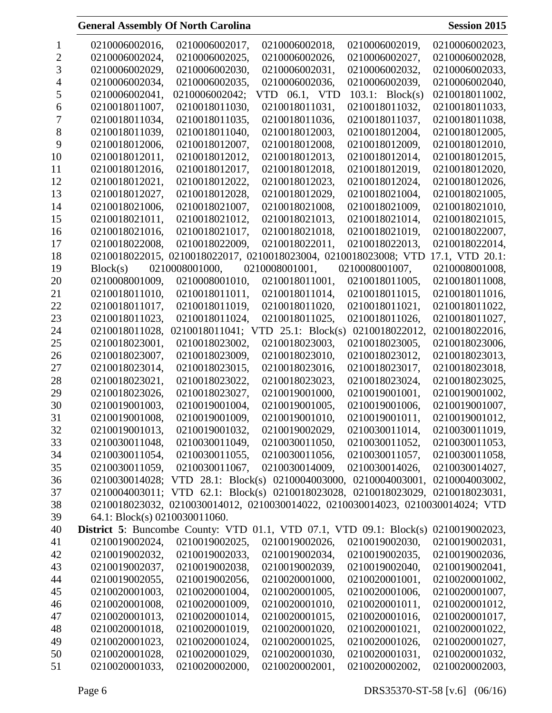| <b>General Assembly Of North Carolina</b> |
|-------------------------------------------|
|-------------------------------------------|

**Session 2015** 

|    | 0210006002016,                                                             | 0210006002017, | 0210006002018,                                                                 | 0210006002019,     | 0210006002023,  |
|----|----------------------------------------------------------------------------|----------------|--------------------------------------------------------------------------------|--------------------|-----------------|
| 2  | 0210006002024,                                                             | 0210006002025, | 0210006002026,                                                                 | 0210006002027,     | 0210006002028,  |
| 3  | 0210006002029,                                                             | 0210006002030, | 0210006002031.                                                                 | 0210006002032,     | 0210006002033.  |
|    | 0210006002034,                                                             | 0210006002035, | 0210006002036,                                                                 | 0210006002039,     | 0210006002040,  |
| 5  | 0210006002041,                                                             | 0210006002042; | VTD 06.1, VTD                                                                  | $103.1$ : Block(s) | 0210018011002,  |
| 6  | 0210018011007,                                                             | 0210018011030, | 0210018011031,                                                                 | 0210018011032,     | 0210018011033,  |
|    | 0210018011034,                                                             | 0210018011035, | 0210018011036,                                                                 | 0210018011037,     | 0210018011038,  |
| 8  | 0210018011039,                                                             | 0210018011040, | 0210018012003,                                                                 | 0210018012004,     | 0210018012005,  |
| 9  | 0210018012006,                                                             | 0210018012007, | 0210018012008,                                                                 | 0210018012009,     | 0210018012010,  |
| 10 | 0210018012011,                                                             | 0210018012012, | 0210018012013,                                                                 | 0210018012014,     | 0210018012015,  |
| 11 | 0210018012016,                                                             | 0210018012017, | 0210018012018,                                                                 | 0210018012019,     | 0210018012020,  |
| 12 | 0210018012021,                                                             | 0210018012022, | 0210018012023,                                                                 | 0210018012024,     | 0210018012026,  |
| 13 | 0210018012027,                                                             | 0210018012028, | 0210018012029,                                                                 | 0210018021004,     | 0210018021005,  |
| 14 | 0210018021006,                                                             | 0210018021007, | 0210018021008,                                                                 | 0210018021009,     | 0210018021010,  |
| 15 | 0210018021011,                                                             | 0210018021012, | 0210018021013,                                                                 | 0210018021014,     | 0210018021015,  |
| 16 | 0210018021016,                                                             | 0210018021017, | 0210018021018,                                                                 | 0210018021019,     | 0210018022007,  |
| 17 | 0210018022008,                                                             | 0210018022009, | 0210018022011,                                                                 | 0210018022013,     | 0210018022014,  |
| 18 | 0210018022015,                                                             |                | 0210018022017, 0210018023004, 0210018023008; VTD                               |                    | 17.1, VTD 20.1: |
| 19 | Block(s)                                                                   | 0210008001000, | 0210008001001,                                                                 | 0210008001007,     | 0210008001008,  |
| 20 | 0210008001009,                                                             | 0210008001010, | 0210018011001,                                                                 | 0210018011005,     | 0210018011008,  |
| 21 | 0210018011010,                                                             | 0210018011011, | 0210018011014,                                                                 | 0210018011015,     | 0210018011016,  |
| 22 | 0210018011017,                                                             | 0210018011019, | 0210018011020,                                                                 | 0210018011021,     | 0210018011022,  |
| 23 | 0210018011023,                                                             | 0210018011024, | 0210018011025,                                                                 | 0210018011026,     | 0210018011027,  |
| 24 | 0210018011028,                                                             | 0210018011041; | $25.1$ : Block(s)<br><b>VTD</b>                                                | 0210018022012,     | 0210018022016,  |
| 25 | 0210018023001,                                                             | 0210018023002, | 0210018023003,                                                                 | 0210018023005,     | 0210018023006,  |
| 26 | 0210018023007,                                                             | 0210018023009, | 0210018023010,                                                                 | 0210018023012,     | 0210018023013,  |
| 27 | 0210018023014,                                                             | 0210018023015, | 0210018023016,                                                                 | 0210018023017,     | 0210018023018,  |
| 28 | 0210018023021,                                                             | 0210018023022, | 0210018023023,                                                                 | 0210018023024,     | 0210018023025,  |
| 29 | 0210018023026,                                                             | 0210018023027, | 0210019001000,                                                                 | 0210019001001,     | 0210019001002.  |
| 30 | 0210019001003,                                                             | 0210019001004, | 0210019001005,                                                                 | 0210019001006,     | 0210019001007,  |
| 31 | 0210019001008,                                                             | 0210019001009, | 0210019001010,                                                                 | 0210019001011,     | 0210019001012,  |
| 32 | 0210019001013,                                                             | 0210019001032, | 0210019002029,                                                                 | 0210030011014,     | 0210030011019,  |
| 33 | 0210030011048,                                                             | 0210030011049, | 0210030011050,                                                                 | 0210030011052,     | 0210030011053,  |
| 34 | 0210030011054,                                                             | 0210030011055, | 0210030011056,                                                                 | 0210030011057,     | 0210030011058,  |
| 35 | 0210030011059,                                                             | 0210030011067, | 0210030014009,                                                                 | 0210030014026,     | 0210030014027,  |
| 36 |                                                                            |                | 0210030014028; VTD 28.1: Block(s) 0210004003000, 0210004003001,                |                    | 0210004003002,  |
| 37 |                                                                            |                | 0210004003011; VTD 62.1: Block(s) 0210018023028, 0210018023029, 0210018023031, |                    |                 |
| 38 |                                                                            |                | 0210018023032, 0210030014012, 0210030014022, 0210030014023, 0210030014024; VTD |                    |                 |
| 39 | 64.1: Block(s) 0210030011060.                                              |                |                                                                                |                    |                 |
| 40 | <b>District 5:</b> Buncombe County: VTD 01.1, VTD 07.1, VTD 09.1: Block(s) |                |                                                                                |                    | 0210019002023,  |
| 41 | 0210019002024,                                                             | 0210019002025, | 0210019002026,                                                                 | 0210019002030,     | 0210019002031,  |
| 42 | 0210019002032,                                                             | 0210019002033, | 0210019002034,                                                                 | 0210019002035,     | 0210019002036,  |
| 43 | 0210019002037,                                                             | 0210019002038, | 0210019002039,                                                                 | 0210019002040,     | 0210019002041,  |
| 44 | 0210019002055,                                                             | 0210019002056, | 0210020001000,                                                                 | 0210020001001,     | 0210020001002,  |
| 45 | 0210020001003,                                                             | 0210020001004, | 0210020001005,                                                                 | 0210020001006,     | 0210020001007,  |
| 46 | 0210020001008,                                                             | 0210020001009, | 0210020001010,                                                                 | 0210020001011,     | 0210020001012,  |
| 47 | 0210020001013,                                                             | 0210020001014, | 0210020001015,                                                                 | 0210020001016,     | 0210020001017,  |
| 48 | 0210020001018,                                                             | 0210020001019, | 0210020001020,                                                                 | 0210020001021,     | 0210020001022,  |
| 49 | 0210020001023,                                                             | 0210020001024, | 0210020001025,                                                                 | 0210020001026,     | 0210020001027,  |
| 50 | 0210020001028,                                                             | 0210020001029, | 0210020001030,                                                                 | 0210020001031,     | 0210020001032,  |
| 51 | 0210020001033,                                                             | 0210020002000, | 0210020002001,                                                                 | 0210020002002,     | 0210020002003,  |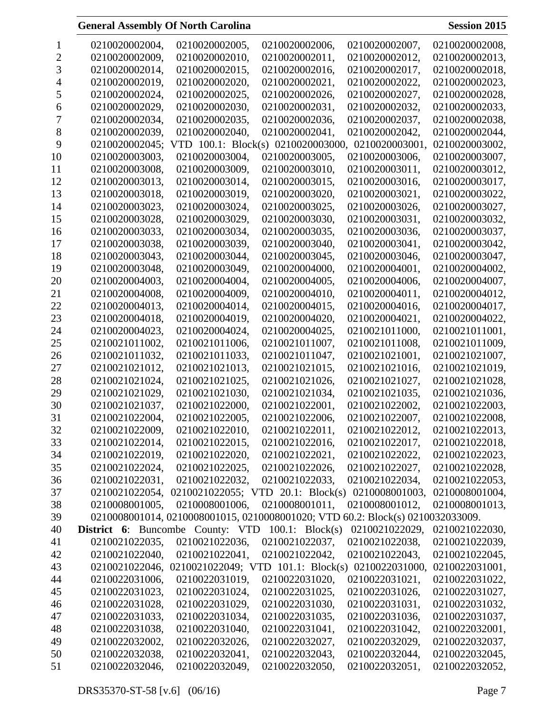# **General Assembly Of North Carolina**

| <b>Session 2015</b> |  |
|---------------------|--|
|                     |  |

|    | 0210020002004,                          | 0210020002005,         | 0210020002006,                                                                 | 0210020002007, | 0210020002008, |
|----|-----------------------------------------|------------------------|--------------------------------------------------------------------------------|----------------|----------------|
| 2  | 0210020002009,                          | 0210020002010,         | 0210020002011,                                                                 | 0210020002012, | 0210020002013, |
| 3  | 0210020002014,                          | 0210020002015,         | 0210020002016,                                                                 | 0210020002017, | 0210020002018, |
|    | 0210020002019,                          | 0210020002020,         | 0210020002021,                                                                 | 0210020002022, | 0210020002023, |
| C  | 0210020002024,                          | 0210020002025,         | 0210020002026,                                                                 | 0210020002027, | 0210020002028, |
| 6  | 0210020002029,                          | 0210020002030,         | 0210020002031,                                                                 | 0210020002032, | 0210020002033, |
|    | 0210020002034,                          | 0210020002035,         | 0210020002036,                                                                 | 0210020002037, | 0210020002038, |
| 8  | 0210020002039,                          | 0210020002040,         | 0210020002041,                                                                 | 0210020002042, | 0210020002044, |
| 9  | 0210020002045;                          | VTD $100.1$ : Block(s) | 0210020003000,                                                                 | 0210020003001, | 0210020003002, |
| 10 | 0210020003003,                          | 0210020003004,         | 0210020003005,                                                                 | 0210020003006, | 0210020003007, |
| 11 | 0210020003008,                          | 0210020003009,         | 0210020003010,                                                                 | 0210020003011, | 0210020003012, |
| 12 | 0210020003013,                          | 0210020003014,         | 0210020003015,                                                                 | 0210020003016, | 0210020003017, |
| 13 | 0210020003018,                          | 0210020003019,         | 0210020003020,                                                                 | 0210020003021, | 0210020003022, |
| 14 | 0210020003023,                          | 0210020003024,         | 0210020003025,                                                                 | 0210020003026, | 0210020003027, |
| 15 | 0210020003028,                          | 0210020003029,         | 0210020003030,                                                                 | 0210020003031, | 0210020003032, |
| 16 | 0210020003033,                          | 0210020003034,         | 0210020003035,                                                                 | 0210020003036, | 0210020003037, |
| 17 | 0210020003038,                          | 0210020003039,         | 0210020003040,                                                                 | 0210020003041, | 0210020003042, |
| 18 | 0210020003043,                          | 0210020003044,         | 0210020003045,                                                                 | 0210020003046, | 0210020003047, |
| 19 | 0210020003048,                          | 0210020003049,         | 0210020004000,                                                                 | 0210020004001, | 0210020004002, |
| 20 | 0210020004003,                          | 0210020004004,         | 0210020004005,                                                                 | 0210020004006, | 0210020004007, |
| 21 | 0210020004008,                          | 0210020004009,         | 0210020004010,                                                                 | 0210020004011, | 0210020004012. |
| 22 | 0210020004013,                          | 0210020004014,         | 0210020004015,                                                                 | 0210020004016, | 0210020004017, |
| 23 | 0210020004018,                          | 0210020004019,         | 0210020004020,                                                                 | 0210020004021, | 0210020004022, |
| 24 | 0210020004023,                          | 0210020004024,         | 0210020004025,                                                                 | 0210021011000, | 0210021011001, |
| 25 | 0210021011002,                          | 0210021011006,         | 0210021011007,                                                                 | 0210021011008, | 0210021011009, |
| 26 | 0210021011032,                          | 0210021011033,         | 0210021011047,                                                                 | 0210021021001, | 0210021021007, |
| 27 | 0210021021012,                          | 0210021021013,         | 0210021021015,                                                                 | 0210021021016, | 0210021021019, |
| 28 | 0210021021024,                          | 0210021021025,         | 0210021021026,                                                                 | 0210021021027, | 0210021021028, |
| 29 | 0210021021029,                          | 0210021021030,         | 0210021021034,                                                                 | 0210021021035, | 0210021021036, |
| 30 | 0210021021037,                          | 0210021022000,         | 0210021022001,                                                                 | 0210021022002, | 0210021022003, |
| 31 | 0210021022004,                          | 0210021022005,         | 0210021022006,                                                                 | 0210021022007, | 0210021022008, |
| 32 | 0210021022009,                          | 0210021022010,         | 0210021022011,                                                                 | 0210021022012. | 0210021022013. |
| 33 | 0210021022014,                          | 0210021022015,         | 0210021022016,                                                                 | 0210021022017, | 0210021022018, |
| 34 | 0210021022019,                          | 0210021022020,         | 0210021022021,                                                                 | 0210021022022, | 0210021022023, |
| 35 | 0210021022024,                          | 0210021022025,         | 0210021022026,                                                                 | 0210021022027, | 0210021022028, |
| 36 | 0210021022031,                          | 0210021022032,         | 0210021022033,                                                                 | 0210021022034, | 0210021022053, |
| 37 | 0210021022054,                          |                        | 0210021022055; VTD 20.1: Block(s) 0210008001003,                               |                | 0210008001004, |
| 38 | 0210008001005,                          | 0210008001006,         | 0210008001011,                                                                 | 0210008001012, | 0210008001013, |
| 39 |                                         |                        | 0210008001014, 0210008001015, 0210008001020; VTD 60.2: Block(s) 0210032033009. |                |                |
| 40 | <b>District 6:</b> Buncombe County: VTD |                        | $100.1$ : Block(s)                                                             | 0210021022029, | 0210021022030, |
| 41 | 0210021022035,                          | 0210021022036,         | 0210021022037,                                                                 | 0210021022038, | 0210021022039, |
| 42 | 0210021022040,                          | 0210021022041,         | 0210021022042,                                                                 | 0210021022043, | 0210021022045, |
| 43 | 0210021022046,                          |                        | 0210021022049; VTD 101.1: Block(s) 0210022031000,                              |                | 0210022031001, |
| 44 | 0210022031006,                          | 0210022031019,         | 0210022031020,                                                                 | 0210022031021, | 0210022031022, |
| 45 | 0210022031023,                          | 0210022031024,         | 0210022031025,                                                                 | 0210022031026, | 0210022031027, |
| 46 | 0210022031028,                          | 0210022031029,         | 0210022031030,                                                                 | 0210022031031, | 0210022031032, |
| 47 | 0210022031033,                          | 0210022031034,         | 0210022031035,                                                                 | 0210022031036, | 0210022031037, |
| 48 | 0210022031038,                          | 0210022031040,         | 0210022031041,                                                                 | 0210022031042, | 0210022032001, |
| 49 | 0210022032002,                          | 0210022032026,         | 0210022032027,                                                                 | 0210022032029, | 0210022032037, |
| 50 | 0210022032038,                          | 0210022032041,         | 0210022032043,                                                                 | 0210022032044, | 0210022032045, |
| 51 | 0210022032046,                          | 0210022032049,         | 0210022032050,                                                                 | 0210022032051, | 0210022032052, |